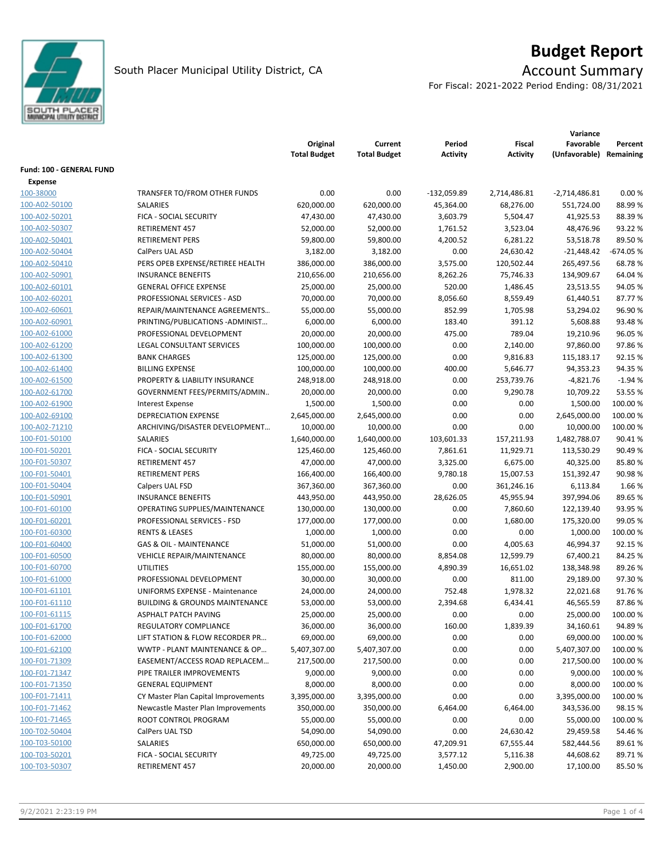

# **Budget Report**

For Fiscal: 2021-2022 Period Ending: 08/31/2021

|                             |                                           | Original<br><b>Total Budget</b> | Current<br><b>Total Budget</b> | Period<br>Activity | Fiscal<br><b>Activity</b> | Variance<br>Favorable<br>(Unfavorable) Remaining | Percent    |
|-----------------------------|-------------------------------------------|---------------------------------|--------------------------------|--------------------|---------------------------|--------------------------------------------------|------------|
| Fund: 100 - GENERAL FUND    |                                           |                                 |                                |                    |                           |                                                  |            |
|                             |                                           |                                 |                                |                    |                           |                                                  |            |
| <b>Expense</b><br>100-38000 | TRANSFER TO/FROM OTHER FUNDS              | 0.00                            | 0.00                           | $-132,059.89$      |                           |                                                  | 0.00%      |
|                             | <b>SALARIES</b>                           |                                 |                                |                    | 2,714,486.81              | $-2,714,486.81$                                  |            |
| 100-A02-50100               |                                           | 620,000.00                      | 620,000.00                     | 45,364.00          | 68,276.00                 | 551,724.00                                       | 88.99%     |
| 100-A02-50201               | FICA - SOCIAL SECURITY                    | 47,430.00                       | 47,430.00                      | 3,603.79           | 5,504.47                  | 41,925.53                                        | 88.39%     |
| 100-A02-50307               | RETIREMENT 457                            | 52,000.00                       | 52,000.00                      | 1,761.52           | 3,523.04                  | 48,476.96                                        | 93.22 %    |
| 100-A02-50401               | <b>RETIREMENT PERS</b>                    | 59,800.00                       | 59,800.00                      | 4,200.52           | 6,281.22                  | 53,518.78                                        | 89.50%     |
| 100-A02-50404               | CalPers UAL ASD                           | 3,182.00                        | 3,182.00                       | 0.00               | 24,630.42                 | $-21,448.42$                                     | $-674.05%$ |
| 100-A02-50410               | PERS OPEB EXPENSE/RETIREE HEALTH          | 386,000.00                      | 386,000.00                     | 3,575.00           | 120,502.44                | 265,497.56                                       | 68.78%     |
| 100-A02-50901               | <b>INSURANCE BENEFITS</b>                 | 210,656.00                      | 210,656.00                     | 8,262.26           | 75,746.33                 | 134,909.67                                       | 64.04%     |
| 100-A02-60101               | <b>GENERAL OFFICE EXPENSE</b>             | 25,000.00                       | 25,000.00                      | 520.00             | 1,486.45                  | 23,513.55                                        | 94.05%     |
| 100-A02-60201               | PROFESSIONAL SERVICES - ASD               | 70,000.00                       | 70,000.00                      | 8,056.60           | 8,559.49                  | 61,440.51                                        | 87.77%     |
| 100-A02-60601               | REPAIR/MAINTENANCE AGREEMENTS             | 55,000.00                       | 55,000.00                      | 852.99             | 1,705.98                  | 53,294.02                                        | 96.90%     |
| 100-A02-60901               | PRINTING/PUBLICATIONS-ADMINIST            | 6,000.00                        | 6,000.00                       | 183.40             | 391.12                    | 5,608.88                                         | 93.48%     |
| 100-A02-61000               | PROFESSIONAL DEVELOPMENT                  | 20,000.00                       | 20,000.00                      | 475.00             | 789.04                    | 19,210.96                                        | 96.05%     |
| 100-A02-61200               | LEGAL CONSULTANT SERVICES                 | 100,000.00                      | 100,000.00                     | 0.00               | 2,140.00                  | 97,860.00                                        | 97.86%     |
| 100-A02-61300               | <b>BANK CHARGES</b>                       | 125,000.00                      | 125,000.00                     | 0.00               | 9,816.83                  | 115,183.17                                       | 92.15 %    |
| 100-A02-61400               | <b>BILLING EXPENSE</b>                    | 100,000.00                      | 100,000.00                     | 400.00             | 5,646.77                  | 94,353.23                                        | 94.35%     |
| 100-A02-61500               | PROPERTY & LIABILITY INSURANCE            | 248,918.00                      | 248,918.00                     | 0.00               | 253,739.76                | $-4,821.76$                                      | $-1.94%$   |
| 100-A02-61700               | GOVERNMENT FEES/PERMITS/ADMIN             | 20,000.00                       | 20,000.00                      | 0.00               | 9,290.78                  | 10,709.22                                        | 53.55 %    |
| 100-A02-61900               | <b>Interest Expense</b>                   | 1,500.00                        | 1,500.00                       | 0.00               | 0.00                      | 1,500.00                                         | 100.00 %   |
| 100-A02-69100               | DEPRECIATION EXPENSE                      | 2,645,000.00                    | 2,645,000.00                   | 0.00               | 0.00                      | 2,645,000.00                                     | 100.00 %   |
| 100-A02-71210               | ARCHIVING/DISASTER DEVELOPMENT            | 10,000.00                       | 10,000.00                      | 0.00               | 0.00                      | 10,000.00                                        | 100.00 %   |
| 100-F01-50100               | SALARIES                                  | 1,640,000.00                    | 1,640,000.00                   | 103,601.33         | 157,211.93                | 1,482,788.07                                     | 90.41%     |
| 100-F01-50201               | FICA - SOCIAL SECURITY                    | 125,460.00                      | 125,460.00                     | 7,861.61           | 11,929.71                 | 113,530.29                                       | 90.49%     |
| 100-F01-50307               | RETIREMENT 457                            | 47,000.00                       | 47,000.00                      | 3,325.00           | 6,675.00                  | 40,325.00                                        | 85.80%     |
| 100-F01-50401               | <b>RETIREMENT PERS</b>                    | 166,400.00                      | 166,400.00                     | 9,780.18           | 15,007.53                 | 151,392.47                                       | 90.98%     |
| 100-F01-50404               | Calpers UAL FSD                           | 367,360.00                      | 367,360.00                     | 0.00               | 361,246.16                | 6,113.84                                         | 1.66 %     |
| 100-F01-50901               | <b>INSURANCE BENEFITS</b>                 | 443,950.00                      | 443,950.00                     | 28,626.05          | 45,955.94                 | 397,994.06                                       | 89.65%     |
| 100-F01-60100               | OPERATING SUPPLIES/MAINTENANCE            | 130,000.00                      | 130,000.00                     | 0.00               | 7,860.60                  | 122,139.40                                       | 93.95%     |
| 100-F01-60201               | PROFESSIONAL SERVICES - FSD               | 177,000.00                      | 177,000.00                     | 0.00               | 1,680.00                  | 175,320.00                                       | 99.05 %    |
| 100-F01-60300               | <b>RENTS &amp; LEASES</b>                 | 1,000.00                        | 1,000.00                       | 0.00               | 0.00                      | 1,000.00                                         | 100.00 %   |
| 100-F01-60400               | <b>GAS &amp; OIL - MAINTENANCE</b>        | 51,000.00                       | 51,000.00                      | 0.00               | 4,005.63                  | 46,994.37                                        | 92.15%     |
| 100-F01-60500               | <b>VEHICLE REPAIR/MAINTENANCE</b>         | 80,000.00                       | 80,000.00                      | 8,854.08           | 12,599.79                 | 67,400.21                                        | 84.25 %    |
| 100-F01-60700               | <b>UTILITIES</b>                          | 155,000.00                      | 155,000.00                     | 4,890.39           | 16,651.02                 | 138,348.98                                       | 89.26%     |
| 100-F01-61000               | PROFESSIONAL DEVELOPMENT                  | 30,000.00                       | 30,000.00                      | 0.00               | 811.00                    | 29,189.00                                        | 97.30%     |
| 100-F01-61101               | UNIFORMS EXPENSE - Maintenance            | 24,000.00                       | 24,000.00                      | 752.48             | 1,978.32                  | 22,021.68                                        | 91.76%     |
| 100-F01-61110               | <b>BUILDING &amp; GROUNDS MAINTENANCE</b> | 53,000.00                       | 53,000.00                      | 2,394.68           | 6,434.41                  | 46,565.59                                        | 87.86%     |
| 100-F01-61115               | ASPHALT PATCH PAVING                      | 25,000.00                       | 25,000.00                      | 0.00               | 0.00                      | 25,000.00                                        | 100.00 %   |
| 100-F01-61700               | REGULATORY COMPLIANCE                     | 36,000.00                       | 36,000.00                      | 160.00             | 1,839.39                  | 34,160.61                                        | 94.89%     |
| 100-F01-62000               | LIFT STATION & FLOW RECORDER PR           | 69,000.00                       | 69,000.00                      | 0.00               | 0.00                      | 69,000.00                                        | 100.00 %   |
| 100-F01-62100               | WWTP - PLANT MAINTENANCE & OP             | 5,407,307.00                    | 5,407,307.00                   | 0.00               | 0.00                      | 5,407,307.00                                     | 100.00 %   |
| 100-F01-71309               | EASEMENT/ACCESS ROAD REPLACEM             | 217,500.00                      | 217,500.00                     | 0.00               | 0.00                      | 217,500.00                                       | 100.00 %   |
| 100-F01-71347               | PIPE TRAILER IMPROVEMENTS                 | 9,000.00                        | 9,000.00                       | 0.00               | 0.00                      | 9,000.00                                         | 100.00 %   |
| 100-F01-71350               | <b>GENERAL EQUIPMENT</b>                  | 8,000.00                        | 8,000.00                       | 0.00               | 0.00                      | 8,000.00                                         | 100.00%    |
| 100-F01-71411               | CY Master Plan Capital Improvements       | 3,395,000.00                    | 3,395,000.00                   | 0.00               | 0.00                      | 3,395,000.00                                     | 100.00%    |
| 100-F01-71462               | Newcastle Master Plan Improvements        | 350,000.00                      | 350,000.00                     | 6,464.00           | 6,464.00                  | 343,536.00                                       | 98.15%     |
| 100-F01-71465               | ROOT CONTROL PROGRAM                      | 55,000.00                       | 55,000.00                      | 0.00               | 0.00                      | 55,000.00                                        | 100.00%    |
| 100-T02-50404               | CalPers UAL TSD                           | 54,090.00                       | 54,090.00                      | 0.00               | 24,630.42                 | 29,459.58                                        | 54.46%     |
| 100-T03-50100               | SALARIES                                  | 650,000.00                      | 650,000.00                     | 47,209.91          | 67,555.44                 | 582,444.56                                       | 89.61%     |
| 100-T03-50201               | FICA - SOCIAL SECURITY                    | 49,725.00                       | 49,725.00                      | 3,577.12           | 5,116.38                  | 44,608.62                                        | 89.71%     |
| 100-T03-50307               | RETIREMENT 457                            | 20,000.00                       | 20,000.00                      | 1,450.00           | 2,900.00                  | 17,100.00                                        | 85.50%     |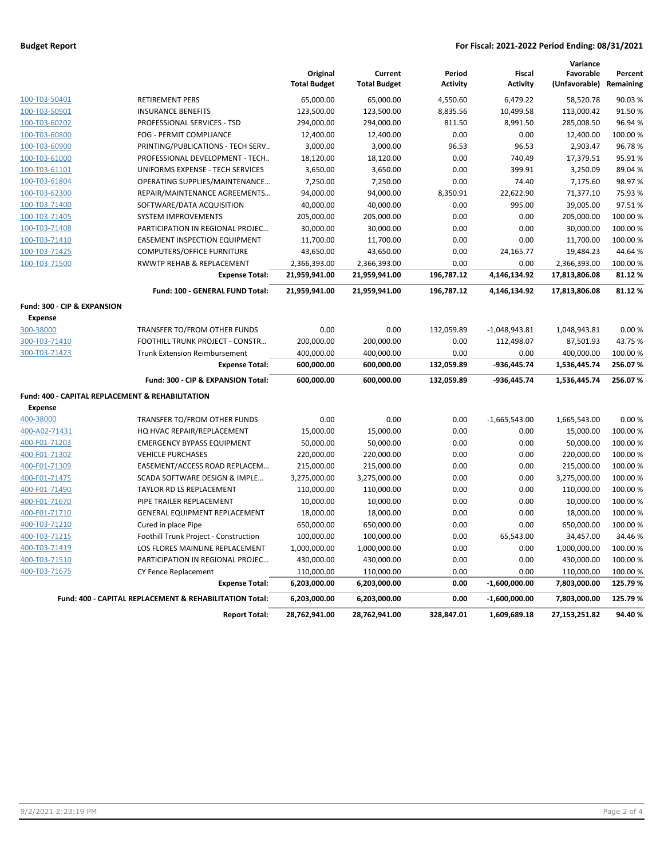### **Budget Report For Fiscal: 2021-2022 Period Ending: 08/31/2021**

|                                                  |                                                         | Original<br><b>Total Budget</b> | Current<br><b>Total Budget</b> | Period<br><b>Activity</b> | <b>Fiscal</b><br><b>Activity</b> | Variance<br>Favorable<br>(Unfavorable) | Percent<br>Remaining |
|--------------------------------------------------|---------------------------------------------------------|---------------------------------|--------------------------------|---------------------------|----------------------------------|----------------------------------------|----------------------|
| 100-T03-50401                                    | <b>RETIREMENT PERS</b>                                  | 65,000.00                       | 65,000.00                      | 4,550.60                  | 6,479.22                         | 58,520.78                              | 90.03%               |
| 100-T03-50901                                    | <b>INSURANCE BENEFITS</b>                               | 123,500.00                      | 123,500.00                     | 8,835.56                  | 10,499.58                        | 113,000.42                             | 91.50%               |
| 100-T03-60202                                    | PROFESSIONAL SERVICES - TSD                             | 294,000.00                      | 294,000.00                     | 811.50                    | 8,991.50                         | 285,008.50                             | 96.94%               |
| 100-T03-60800                                    | FOG - PERMIT COMPLIANCE                                 | 12,400.00                       | 12,400.00                      | 0.00                      | 0.00                             | 12,400.00                              | 100.00 %             |
| 100-T03-60900                                    | PRINTING/PUBLICATIONS - TECH SERV                       | 3,000.00                        | 3,000.00                       | 96.53                     | 96.53                            | 2,903.47                               | 96.78%               |
| 100-T03-61000                                    | PROFESSIONAL DEVELOPMENT - TECH                         | 18,120.00                       | 18,120.00                      | 0.00                      | 740.49                           | 17,379.51                              | 95.91%               |
| 100-T03-61101                                    | UNIFORMS EXPENSE - TECH SERVICES                        | 3,650.00                        | 3,650.00                       | 0.00                      | 399.91                           | 3,250.09                               | 89.04%               |
| 100-T03-61804                                    | OPERATING SUPPLIES/MAINTENANCE                          | 7,250.00                        | 7,250.00                       | 0.00                      | 74.40                            | 7,175.60                               | 98.97%               |
| 100-T03-62300                                    | REPAIR/MAINTENANCE AGREEMENTS                           | 94,000.00                       | 94,000.00                      | 8,350.91                  | 22,622.90                        | 71,377.10                              | 75.93%               |
| 100-T03-71400                                    | SOFTWARE/DATA ACQUISITION                               | 40,000.00                       | 40,000.00                      | 0.00                      | 995.00                           | 39,005.00                              | 97.51%               |
| 100-T03-71405                                    | <b>SYSTEM IMPROVEMENTS</b>                              | 205,000.00                      | 205,000.00                     | 0.00                      | 0.00                             | 205,000.00                             | 100.00%              |
| 100-T03-71408                                    | PARTICIPATION IN REGIONAL PROJEC                        | 30,000.00                       | 30,000.00                      | 0.00                      | 0.00                             | 30,000.00                              | 100.00%              |
| 100-T03-71410                                    | <b>EASEMENT INSPECTION EQUIPMENT</b>                    | 11,700.00                       | 11,700.00                      | 0.00                      | 0.00                             | 11,700.00                              | 100.00 %             |
| 100-T03-71425                                    | <b>COMPUTERS/OFFICE FURNITURE</b>                       | 43,650.00                       | 43,650.00                      | 0.00                      | 24,165.77                        | 19,484.23                              | 44.64%               |
| 100-T03-71500                                    | RWWTP REHAB & REPLACEMENT                               | 2,366,393.00                    | 2,366,393.00                   | 0.00                      | 0.00                             | 2,366,393.00                           | 100.00%              |
|                                                  | <b>Expense Total:</b>                                   | 21,959,941.00                   | 21,959,941.00                  | 196,787.12                | 4,146,134.92                     | 17,813,806.08                          | 81.12%               |
|                                                  | Fund: 100 - GENERAL FUND Total:                         | 21,959,941.00                   | 21,959,941.00                  | 196,787.12                | 4,146,134.92                     | 17,813,806.08                          | 81.12%               |
| Fund: 300 - CIP & EXPANSION                      |                                                         |                                 |                                |                           |                                  |                                        |                      |
| <b>Expense</b>                                   |                                                         |                                 |                                |                           |                                  |                                        |                      |
| 300-38000                                        | TRANSFER TO/FROM OTHER FUNDS                            | 0.00                            | 0.00                           | 132,059.89                | $-1,048,943.81$                  | 1,048,943.81                           | 0.00%                |
| 300-T03-71410                                    | FOOTHILL TRUNK PROJECT - CONSTR                         | 200,000.00                      | 200,000.00                     | 0.00                      | 112,498.07                       | 87,501.93                              | 43.75%               |
| 300-T03-71423                                    | <b>Trunk Extension Reimbursement</b>                    | 400,000.00                      | 400,000.00                     | 0.00                      | 0.00                             | 400,000.00                             | 100.00 %             |
|                                                  | <b>Expense Total:</b>                                   | 600,000.00                      | 600,000.00                     | 132,059.89                | $-936,445.74$                    | 1,536,445.74                           | 256.07%              |
|                                                  | Fund: 300 - CIP & EXPANSION Total:                      | 600,000.00                      | 600,000.00                     | 132,059.89                | -936,445.74                      | 1,536,445.74                           | 256.07%              |
| Fund: 400 - CAPITAL REPLACEMENT & REHABILITATION |                                                         |                                 |                                |                           |                                  |                                        |                      |
| <b>Expense</b>                                   |                                                         |                                 |                                |                           |                                  |                                        |                      |
| 400-38000                                        | TRANSFER TO/FROM OTHER FUNDS                            | 0.00                            | 0.00                           | 0.00                      | $-1,665,543.00$                  | 1,665,543.00                           | 0.00%                |
| 400-A02-71431                                    | HQ HVAC REPAIR/REPLACEMENT                              | 15,000.00                       | 15,000.00                      | 0.00                      | 0.00                             | 15,000.00                              | 100.00 %             |
| 400-F01-71203                                    | <b>EMERGENCY BYPASS EQUIPMENT</b>                       | 50,000.00                       | 50,000.00                      | 0.00                      | 0.00                             | 50,000.00                              | 100.00%              |
| 400-F01-71302                                    | <b>VEHICLE PURCHASES</b>                                | 220,000.00                      | 220,000.00                     | 0.00                      | 0.00                             | 220,000.00                             | 100.00 %             |
| 400-F01-71309                                    | EASEMENT/ACCESS ROAD REPLACEM                           | 215,000.00                      | 215,000.00                     | 0.00                      | 0.00                             | 215,000.00                             | 100.00 %             |
| 400-F01-71475                                    | SCADA SOFTWARE DESIGN & IMPLE                           | 3,275,000.00                    | 3,275,000.00                   | 0.00                      | 0.00                             | 3,275,000.00                           | 100.00 %             |
| 400-F01-71490                                    | TAYLOR RD LS REPLACEMENT                                | 110,000.00                      | 110,000.00                     | 0.00                      | 0.00                             | 110,000.00                             | 100.00 %             |
| 400-F01-71670                                    | PIPE TRAILER REPLACEMENT                                | 10,000.00                       | 10,000.00                      | 0.00                      | 0.00                             | 10,000.00                              | 100.00 %             |
| 400-F01-71710                                    | GENERAL EQUIPMENT REPLACEMENT                           | 18,000.00                       | 18,000.00                      | 0.00                      | 0.00                             | 18,000.00                              | 100.00 %             |
| 400-T03-71210                                    | Cured in place Pipe                                     | 650,000.00                      | 650,000.00                     | 0.00                      | 0.00                             | 650,000.00                             | 100.00 %             |
| 400-T03-71215                                    | Foothill Trunk Project - Construction                   | 100,000.00                      | 100,000.00                     | 0.00                      | 65,543.00                        | 34,457.00                              | 34.46%               |
| 400-T03-71419                                    | LOS FLORES MAINLINE REPLACEMENT                         | 1,000,000.00                    | 1,000,000.00                   | 0.00                      | 0.00                             | 1,000,000.00                           | 100.00 %             |
| 400-T03-71510                                    | PARTICIPATION IN REGIONAL PROJEC                        | 430,000.00                      | 430,000.00                     | 0.00                      | 0.00                             | 430,000.00                             | 100.00 %             |
| 400-T03-71675                                    | CY Fence Replacement                                    | 110,000.00                      | 110,000.00                     | 0.00                      | 0.00                             | 110,000.00                             | 100.00 %             |
|                                                  | <b>Expense Total:</b>                                   | 6,203,000.00                    | 6,203,000.00                   | 0.00                      | $-1,600,000.00$                  | 7,803,000.00                           | 125.79%              |
|                                                  | Fund: 400 - CAPITAL REPLACEMENT & REHABILITATION Total: | 6,203,000.00                    | 6,203,000.00                   | 0.00                      | $-1,600,000.00$                  | 7,803,000.00                           | 125.79%              |
|                                                  | <b>Report Total:</b>                                    | 28,762,941.00                   | 28,762,941.00                  | 328,847.01                | 1,609,689.18                     | 27,153,251.82                          | 94.40%               |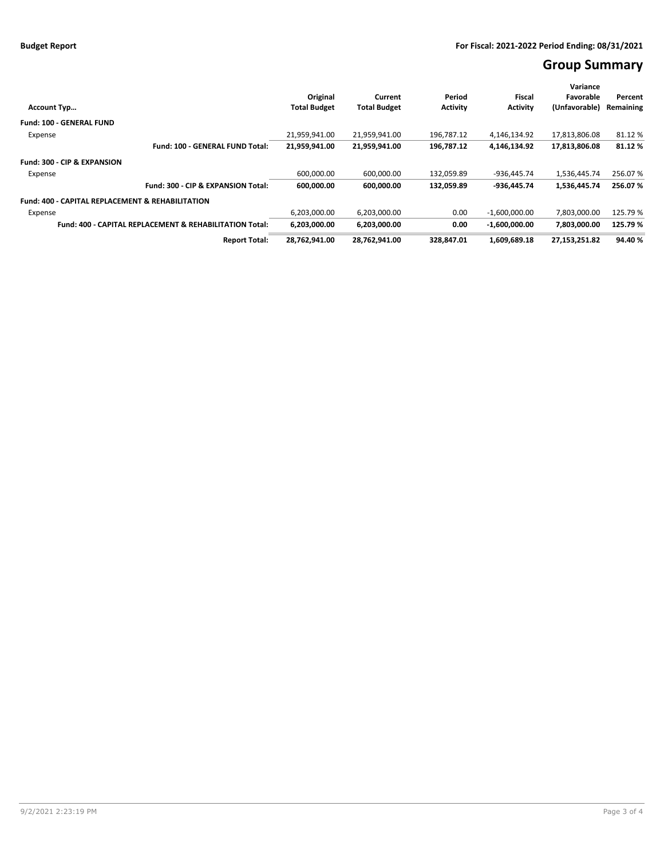# **Group Summary**

|                                                                    | Original                                                                         | Current       | Period        | Fiscal          | Variance<br>Favorable | Percent |
|--------------------------------------------------------------------|----------------------------------------------------------------------------------|---------------|---------------|-----------------|-----------------------|---------|
| <b>Account Typ</b>                                                 | <b>Activity</b><br><b>Total Budget</b><br><b>Total Budget</b><br><b>Activity</b> |               | (Unfavorable) | Remaining       |                       |         |
| <b>Fund: 100 - GENERAL FUND</b>                                    |                                                                                  |               |               |                 |                       |         |
| Expense                                                            | 21.959.941.00                                                                    | 21.959.941.00 | 196.787.12    | 4,146,134.92    | 17.813.806.08         | 81.12%  |
| Fund: 100 - GENERAL FUND Total:                                    | 21,959,941.00                                                                    | 21,959,941.00 | 196,787.12    | 4,146,134.92    | 17,813,806.08         | 81.12%  |
| Fund: 300 - CIP & EXPANSION                                        |                                                                                  |               |               |                 |                       |         |
| Expense                                                            | 600,000.00                                                                       | 600,000.00    | 132,059.89    | -936,445.74     | 1,536,445.74          | 256.07% |
| Fund: 300 - CIP & EXPANSION Total:                                 | 600,000.00                                                                       | 600,000.00    | 132,059.89    | -936.445.74     | 1,536,445.74          | 256.07% |
| <b>Fund: 400 - CAPITAL REPLACEMENT &amp; REHABILITATION</b>        |                                                                                  |               |               |                 |                       |         |
| Expense                                                            | 6,203,000.00                                                                     | 6,203,000.00  | 0.00          | $-1,600,000.00$ | 7,803,000.00          | 125.79% |
| <b>Fund: 400 - CAPITAL REPLACEMENT &amp; REHABILITATION Total:</b> | 6.203.000.00                                                                     | 6,203,000.00  | 0.00          | $-1.600.000.00$ | 7.803.000.00          | 125.79% |
| <b>Report Total:</b>                                               | 28,762,941.00                                                                    | 28,762,941.00 | 328.847.01    | 1,609,689.18    | 27,153,251.82         | 94.40%  |
|                                                                    |                                                                                  |               |               |                 |                       |         |